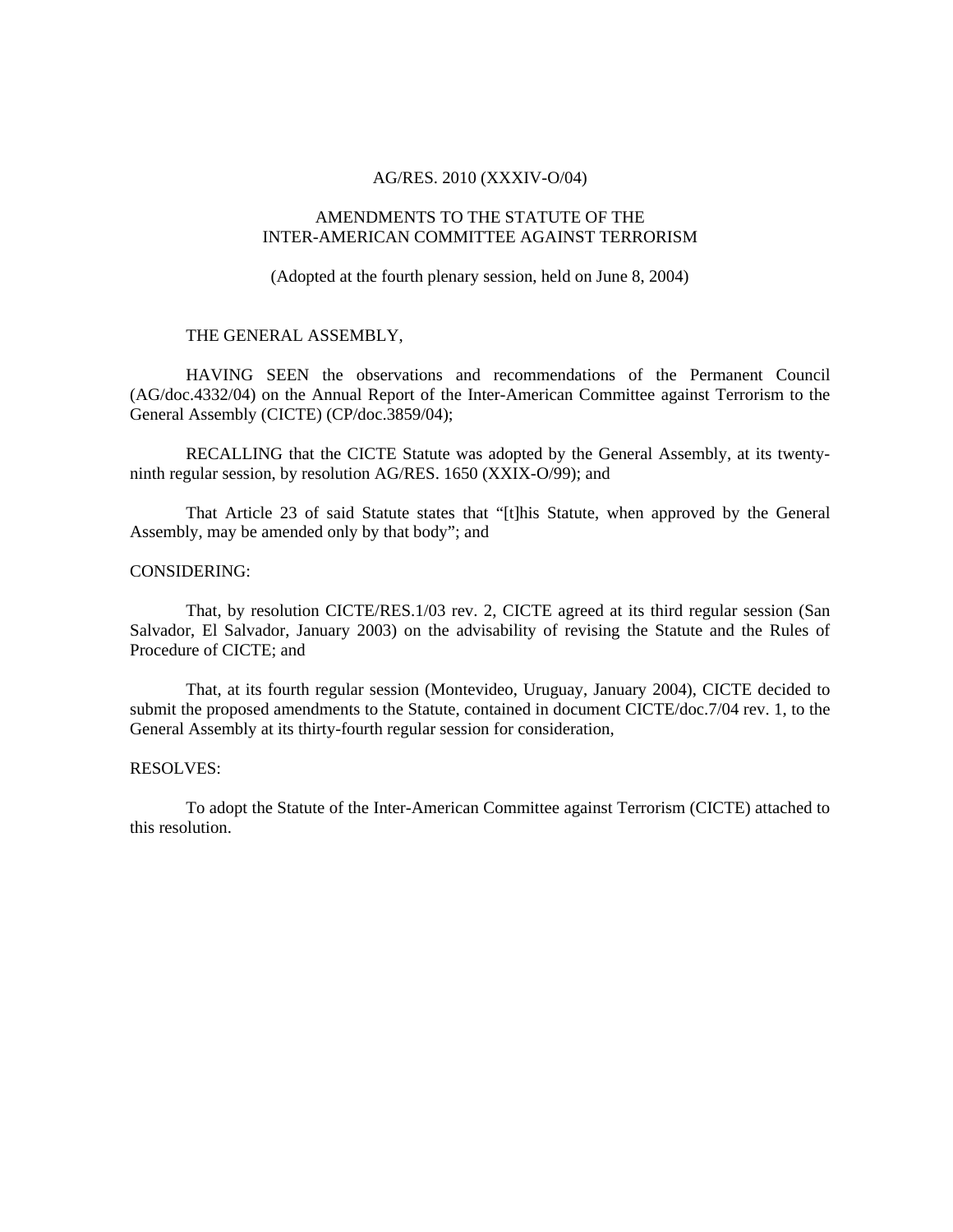# AG/RES. 2010 (XXXIV-O/04)

# AMENDMENTS TO THE STATUTE OF THE INTER-AMERICAN COMMITTEE AGAINST TERRORISM

(Adopted at the fourth plenary session, held on June 8, 2004)

# THE GENERAL ASSEMBLY,

 HAVING SEEN the observations and recommendations of the Permanent Council (AG/doc.4332/04) on the Annual Report of the Inter-American Committee against Terrorism to the General Assembly (CICTE) (CP/doc.3859/04);

 RECALLING that the CICTE Statute was adopted by the General Assembly, at its twentyninth regular session, by resolution AG/RES. 1650 (XXIX-O/99); and

That Article 23 of said Statute states that "[t]his Statute, when approved by the General Assembly, may be amended only by that body"; and

# CONSIDERING:

That, by resolution CICTE/RES.1/03 rev. 2, CICTE agreed at its third regular session (San Salvador, El Salvador, January 2003) on the advisability of revising the Statute and the Rules of Procedure of CICTE; and

That, at its fourth regular session (Montevideo, Uruguay, January 2004), CICTE decided to submit the proposed amendments to the Statute, contained in document CICTE/doc.7/04 rev. 1, to the General Assembly at its thirty-fourth regular session for consideration,

#### RESOLVES:

To adopt the Statute of the Inter-American Committee against Terrorism (CICTE) attached to this resolution.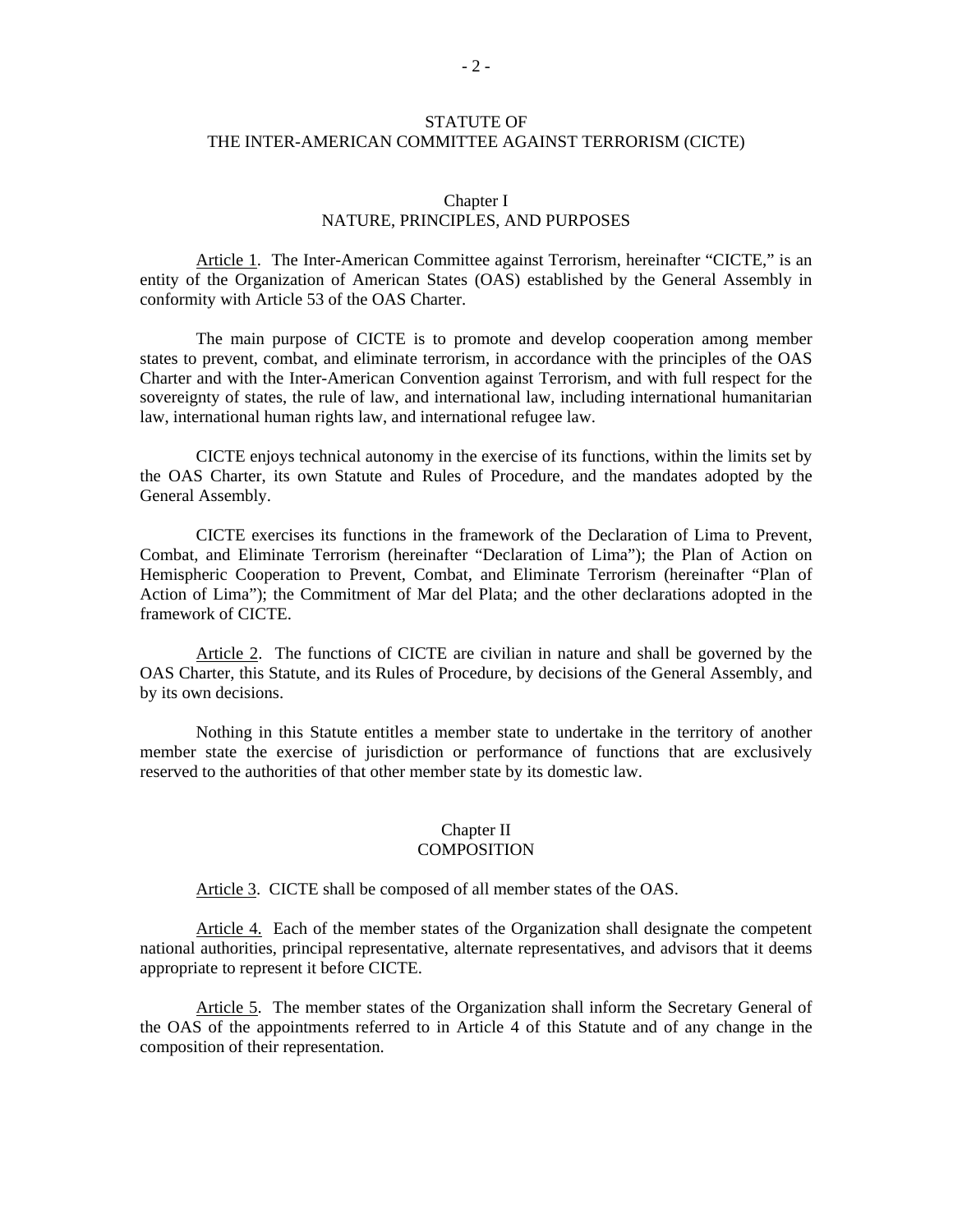# STATUTE OF THE INTER-AMERICAN COMMITTEE AGAINST TERRORISM (CICTE)

### Chapter I NATURE, PRINCIPLES, AND PURPOSES

Article 1. The Inter-American Committee against Terrorism, hereinafter "CICTE," is an entity of the Organization of American States (OAS) established by the General Assembly in conformity with Article 53 of the OAS Charter.

 The main purpose of CICTE is to promote and develop cooperation among member states to prevent, combat, and eliminate terrorism, in accordance with the principles of the OAS Charter and with the Inter-American Convention against Terrorism, and with full respect for the sovereignty of states, the rule of law, and international law, including international humanitarian law, international human rights law, and international refugee law.

 CICTE enjoys technical autonomy in the exercise of its functions, within the limits set by the OAS Charter, its own Statute and Rules of Procedure, and the mandates adopted by the General Assembly.

 CICTE exercises its functions in the framework of the Declaration of Lima to Prevent, Combat, and Eliminate Terrorism (hereinafter "Declaration of Lima"); the Plan of Action on Hemispheric Cooperation to Prevent, Combat, and Eliminate Terrorism (hereinafter "Plan of Action of Lima"); the Commitment of Mar del Plata; and the other declarations adopted in the framework of CICTE.

Article 2. The functions of CICTE are civilian in nature and shall be governed by the OAS Charter, this Statute, and its Rules of Procedure, by decisions of the General Assembly, and by its own decisions.

 Nothing in this Statute entitles a member state to undertake in the territory of another member state the exercise of jurisdiction or performance of functions that are exclusively reserved to the authorities of that other member state by its domestic law.

#### Chapter II **COMPOSITION**

Article 3. CICTE shall be composed of all member states of the OAS.

Article 4. Each of the member states of the Organization shall designate the competent national authorities, principal representative, alternate representatives, and advisors that it deems appropriate to represent it before CICTE.

Article 5. The member states of the Organization shall inform the Secretary General of the OAS of the appointments referred to in Article 4 of this Statute and of any change in the composition of their representation.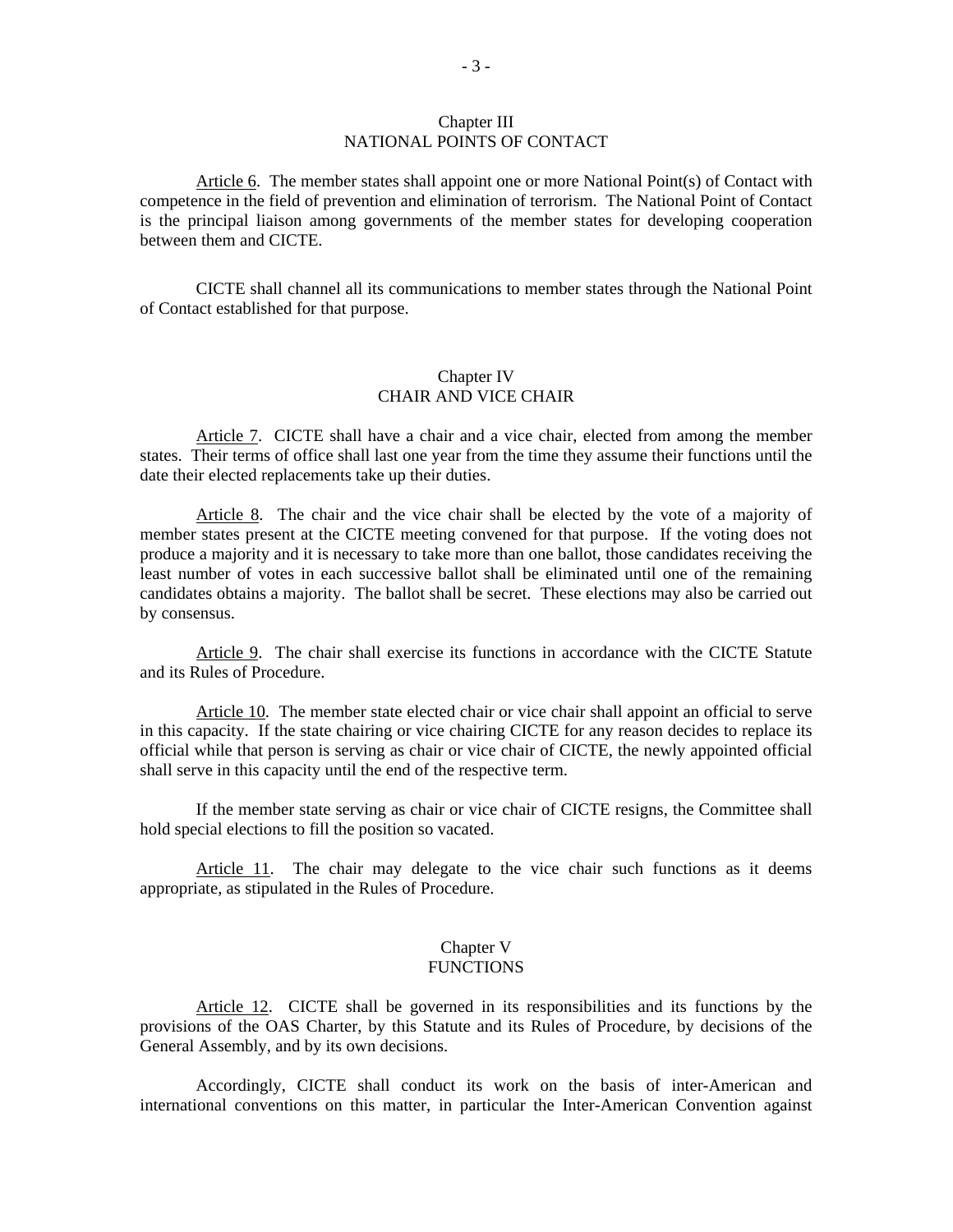### Chapter III NATIONAL POINTS OF CONTACT

Article 6. The member states shall appoint one or more National Point(s) of Contact with competence in the field of prevention and elimination of terrorism. The National Point of Contact is the principal liaison among governments of the member states for developing cooperation between them and CICTE.

 CICTE shall channel all its communications to member states through the National Point of Contact established for that purpose.

# Chapter IV CHAIR AND VICE CHAIR

Article 7. CICTE shall have a chair and a vice chair, elected from among the member states. Their terms of office shall last one year from the time they assume their functions until the date their elected replacements take up their duties.

Article 8. The chair and the vice chair shall be elected by the vote of a majority of member states present at the CICTE meeting convened for that purpose. If the voting does not produce a majority and it is necessary to take more than one ballot, those candidates receiving the least number of votes in each successive ballot shall be eliminated until one of the remaining candidates obtains a majority. The ballot shall be secret. These elections may also be carried out by consensus.

Article 9. The chair shall exercise its functions in accordance with the CICTE Statute and its Rules of Procedure.

Article 10.The member state elected chair or vice chair shall appoint an official to serve in this capacity. If the state chairing or vice chairing CICTE for any reason decides to replace its official while that person is serving as chair or vice chair of CICTE, the newly appointed official shall serve in this capacity until the end of the respective term.

If the member state serving as chair or vice chair of CICTE resigns, the Committee shall hold special elections to fill the position so vacated.

Article 11. The chair may delegate to the vice chair such functions as it deems appropriate, as stipulated in the Rules of Procedure.

#### Chapter V **FUNCTIONS**

Article 12. CICTE shall be governed in its responsibilities and its functions by the provisions of the OAS Charter, by this Statute and its Rules of Procedure, by decisions of the General Assembly, and by its own decisions.

 Accordingly, CICTE shall conduct its work on the basis of inter-American and international conventions on this matter, in particular the Inter-American Convention against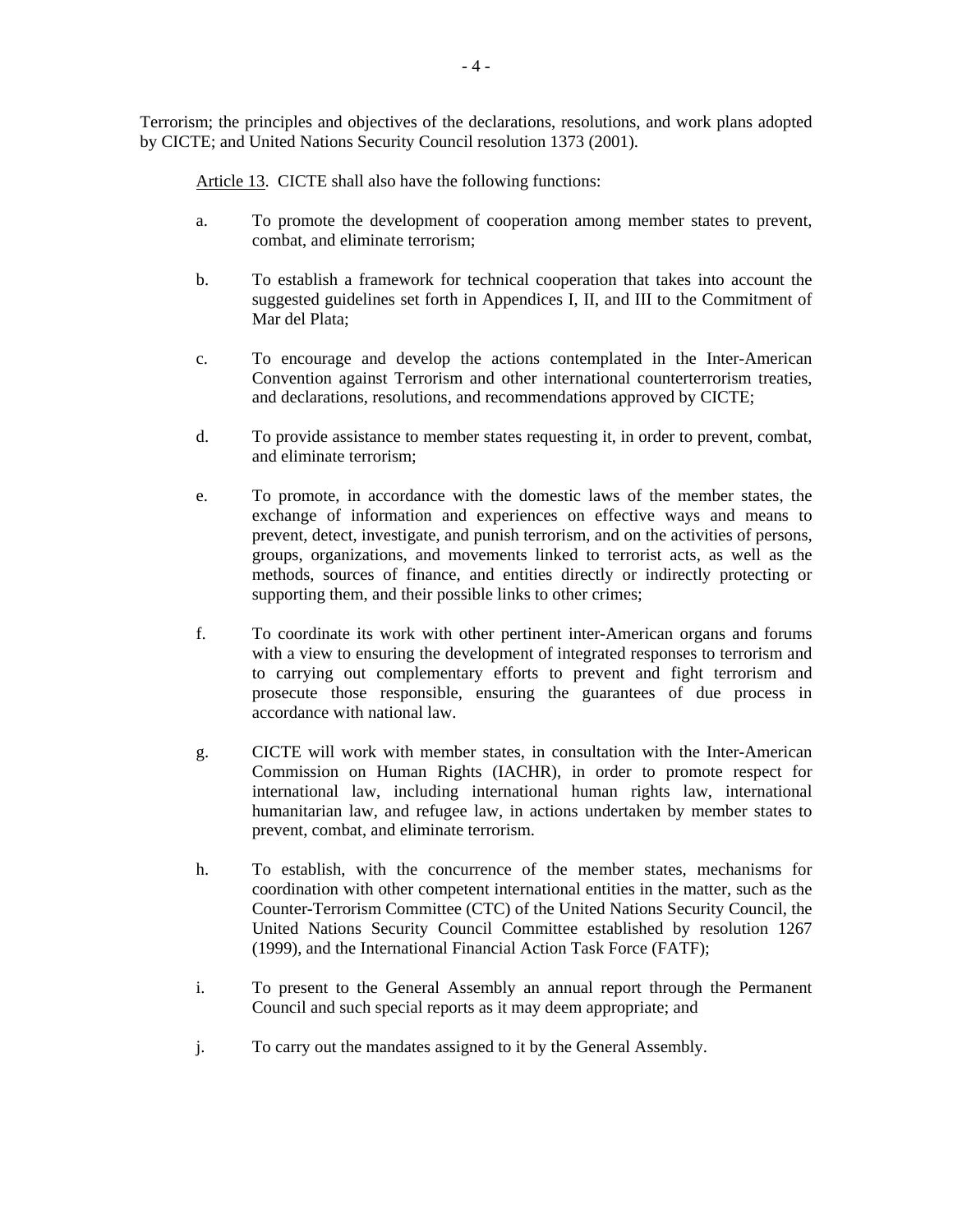Terrorism; the principles and objectives of the declarations, resolutions, and work plans adopted by CICTE; and United Nations Security Council resolution 1373 (2001).

Article 13. CICTE shall also have the following functions:

- a. To promote the development of cooperation among member states to prevent, combat, and eliminate terrorism;
- b. To establish a framework for technical cooperation that takes into account the suggested guidelines set forth in Appendices I, II, and III to the Commitment of Mar del Plata;
- c. To encourage and develop the actions contemplated in the Inter-American Convention against Terrorism and other international counterterrorism treaties, and declarations, resolutions, and recommendations approved by CICTE;
- d. To provide assistance to member states requesting it, in order to prevent, combat, and eliminate terrorism;
- e. To promote, in accordance with the domestic laws of the member states, the exchange of information and experiences on effective ways and means to prevent, detect, investigate, and punish terrorism, and on the activities of persons, groups, organizations, and movements linked to terrorist acts, as well as the methods, sources of finance, and entities directly or indirectly protecting or supporting them, and their possible links to other crimes;
- f. To coordinate its work with other pertinent inter-American organs and forums with a view to ensuring the development of integrated responses to terrorism and to carrying out complementary efforts to prevent and fight terrorism and prosecute those responsible, ensuring the guarantees of due process in accordance with national law.
- g. CICTE will work with member states, in consultation with the Inter-American Commission on Human Rights (IACHR), in order to promote respect for international law, including international human rights law, international humanitarian law, and refugee law, in actions undertaken by member states to prevent, combat, and eliminate terrorism.
- h. To establish, with the concurrence of the member states, mechanisms for coordination with other competent international entities in the matter, such as the Counter-Terrorism Committee (CTC) of the United Nations Security Council, the United Nations Security Council Committee established by resolution 1267 (1999), and the International Financial Action Task Force (FATF);
- i. To present to the General Assembly an annual report through the Permanent Council and such special reports as it may deem appropriate; and
- j. To carry out the mandates assigned to it by the General Assembly.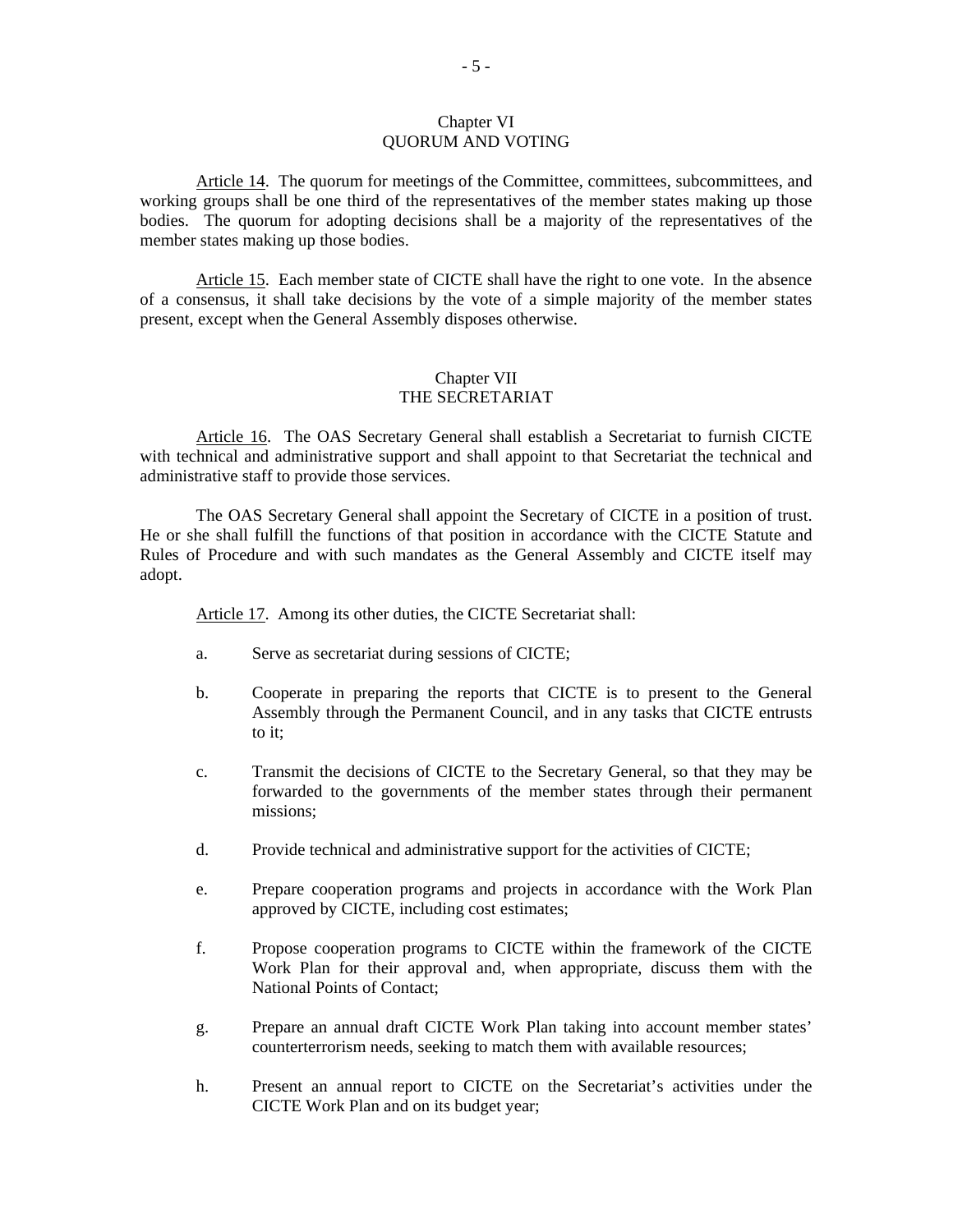#### Chapter VI QUORUM AND VOTING

Article 14. The quorum for meetings of the Committee, committees, subcommittees, and working groups shall be one third of the representatives of the member states making up those bodies. The quorum for adopting decisions shall be a majority of the representatives of the member states making up those bodies.

Article 15. Each member state of CICTE shall have the right to one vote. In the absence of a consensus, it shall take decisions by the vote of a simple majority of the member states present, except when the General Assembly disposes otherwise.

# Chapter VII THE SECRETARIAT

Article 16. The OAS Secretary General shall establish a Secretariat to furnish CICTE with technical and administrative support and shall appoint to that Secretariat the technical and administrative staff to provide those services.

The OAS Secretary General shall appoint the Secretary of CICTE in a position of trust. He or she shall fulfill the functions of that position in accordance with the CICTE Statute and Rules of Procedure and with such mandates as the General Assembly and CICTE itself may adopt.

Article 17. Among its other duties, the CICTE Secretariat shall:

- a. Serve as secretariat during sessions of CICTE;
- b. Cooperate in preparing the reports that CICTE is to present to the General Assembly through the Permanent Council, and in any tasks that CICTE entrusts to it;
- c. Transmit the decisions of CICTE to the Secretary General, so that they may be forwarded to the governments of the member states through their permanent missions;
- d. Provide technical and administrative support for the activities of CICTE;
- e. Prepare cooperation programs and projects in accordance with the Work Plan approved by CICTE, including cost estimates;
- f. Propose cooperation programs to CICTE within the framework of the CICTE Work Plan for their approval and, when appropriate, discuss them with the National Points of Contact;
- g. Prepare an annual draft CICTE Work Plan taking into account member states' counterterrorism needs, seeking to match them with available resources;
- h. Present an annual report to CICTE on the Secretariat's activities under the CICTE Work Plan and on its budget year;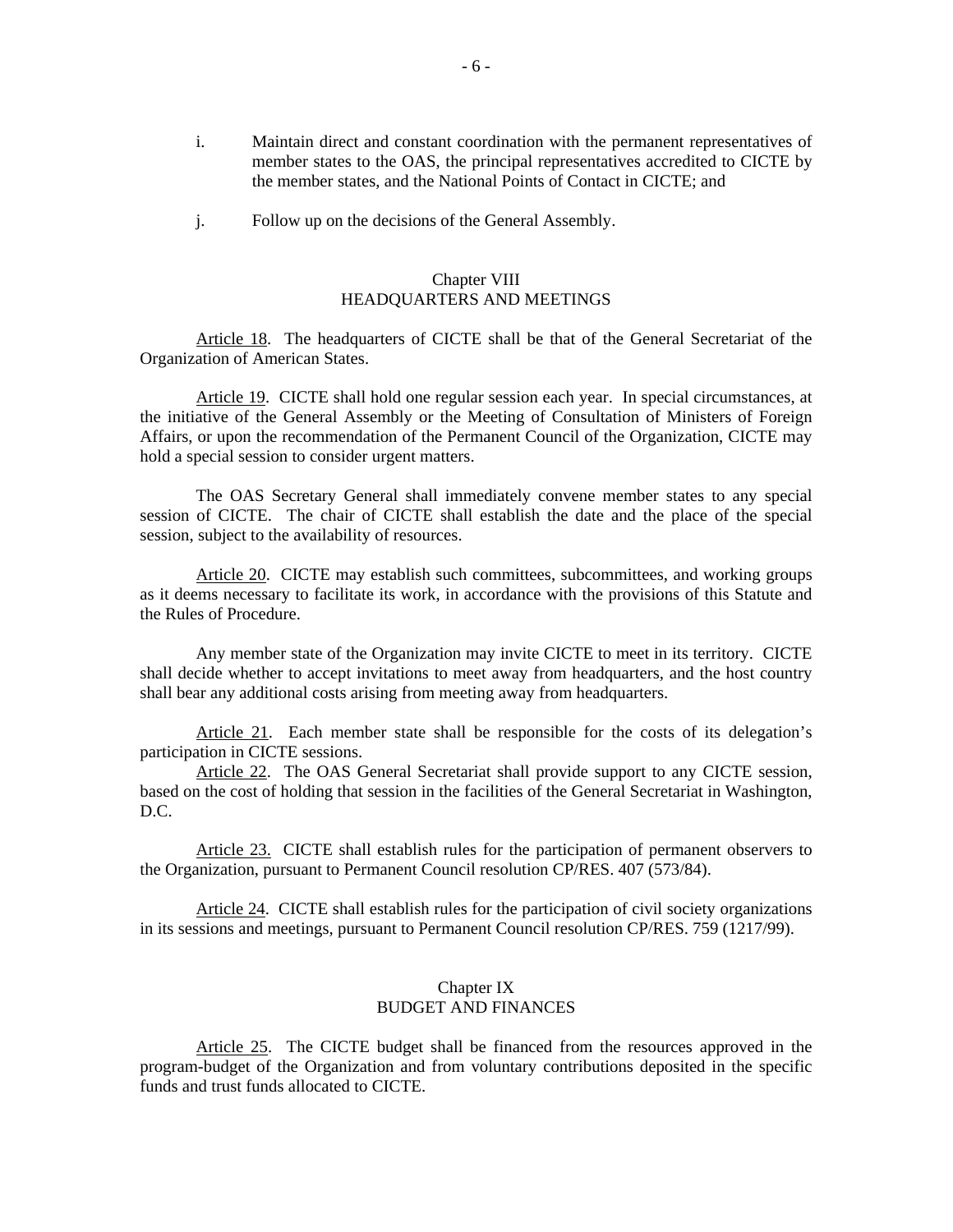- i. Maintain direct and constant coordination with the permanent representatives of member states to the OAS, the principal representatives accredited to CICTE by the member states, and the National Points of Contact in CICTE; and
- j. Follow up on the decisions of the General Assembly.

# Chapter VIII HEADQUARTERS AND MEETINGS

Article 18. The headquarters of CICTE shall be that of the General Secretariat of the Organization of American States.

Article 19. CICTE shall hold one regular session each year. In special circumstances, at the initiative of the General Assembly or the Meeting of Consultation of Ministers of Foreign Affairs, or upon the recommendation of the Permanent Council of the Organization, CICTE may hold a special session to consider urgent matters.

 The OAS Secretary General shall immediately convene member states to any special session of CICTE. The chair of CICTE shall establish the date and the place of the special session, subject to the availability of resources.

Article 20. CICTE may establish such committees, subcommittees, and working groups as it deems necessary to facilitate its work, in accordance with the provisions of this Statute and the Rules of Procedure.

 Any member state of the Organization may invite CICTE to meet in its territory. CICTE shall decide whether to accept invitations to meet away from headquarters, and the host country shall bear any additional costs arising from meeting away from headquarters.

Article 21. Each member state shall be responsible for the costs of its delegation's participation in CICTE sessions.

Article 22. The OAS General Secretariat shall provide support to any CICTE session, based on the cost of holding that session in the facilities of the General Secretariat in Washington, D.C.

Article 23. CICTE shall establish rules for the participation of permanent observers to the Organization, pursuant to Permanent Council resolution CP/RES. 407 (573/84).

Article 24. CICTE shall establish rules for the participation of civil society organizations in its sessions and meetings, pursuant to Permanent Council resolution CP/RES. 759 (1217/99).

### Chapter IX BUDGET AND FINANCES

Article 25. The CICTE budget shall be financed from the resources approved in the program-budget of the Organization and from voluntary contributions deposited in the specific funds and trust funds allocated to CICTE.